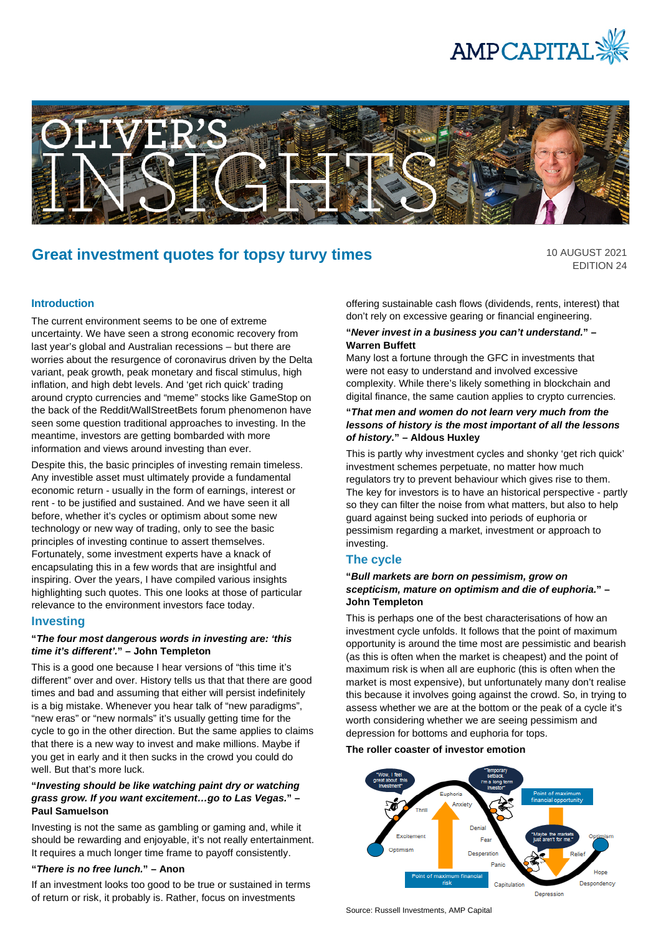



# **Great investment quotes for topsy turvy times**

10 AUGUST 2021 EDITION 24

#### **Introduction**

The current environment seems to be one of extreme uncertainty. We have seen a strong economic recovery from last year's global and Australian recessions – but there are worries about the resurgence of coronavirus driven by the Delta variant, peak growth, peak monetary and fiscal stimulus, high inflation, and high debt levels. And 'get rich quick' trading around crypto currencies and "meme" stocks like GameStop on the back of the Reddit/WallStreetBets forum phenomenon have seen some question traditional approaches to investing. In the meantime, investors are getting bombarded with more information and views around investing than ever.

Despite this, the basic principles of investing remain timeless. Any investible asset must ultimately provide a fundamental economic return - usually in the form of earnings, interest or rent - to be justified and sustained. And we have seen it all before, whether it's cycles or optimism about some new technology or new way of trading, only to see the basic principles of investing continue to assert themselves. Fortunately, some investment experts have a knack of encapsulating this in a few words that are insightful and inspiring. Over the years, I have compiled various insights highlighting such quotes. This one looks at those of particular relevance to the environment investors face today.

#### **Investing**

#### **"***The four most dangerous words in investing are: 'this time it's different'.***" – John Templeton**

This is a good one because I hear versions of "this time it's different" over and over. History tells us that that there are good times and bad and assuming that either will persist indefinitely is a big mistake. Whenever you hear talk of "new paradigms", "new eras" or "new normals" it's usually getting time for the cycle to go in the other direction. But the same applies to claims that there is a new way to invest and make millions. Maybe if you get in early and it then sucks in the crowd you could do well. But that's more luck.

#### **"***Investing should be like watching paint dry or watching grass grow. If you want excitement…go to Las Vegas.***" – Paul Samuelson**

Investing is not the same as gambling or gaming and, while it should be rewarding and enjoyable, it's not really entertainment. It requires a much longer time frame to payoff consistently.

#### **"***There is no free lunch.***" – Anon**

If an investment looks too good to be true or sustained in terms of return or risk, it probably is. Rather, focus on investments

offering sustainable cash flows (dividends, rents, interest) that don't rely on excessive gearing or financial engineering.

#### **"***Never invest in a business you can't understand.***" – Warren Buffett**

Many lost a fortune through the GFC in investments that were not easy to understand and involved excessive complexity. While there's likely something in blockchain and digital finance, the same caution applies to crypto currencies.

#### **"***That men and women do not learn very much from the lessons of history is the most important of all the lessons of history.***" – Aldous Huxley**

This is partly why investment cycles and shonky 'get rich quick' investment schemes perpetuate, no matter how much regulators try to prevent behaviour which gives rise to them. The key for investors is to have an historical perspective - partly so they can filter the noise from what matters, but also to help guard against being sucked into periods of euphoria or pessimism regarding a market, investment or approach to investing.

#### **The cycle**

#### **"***Bull markets are born on pessimism, grow on scepticism, mature on optimism and die of euphoria.***" – John Templeton**

This is perhaps one of the best characterisations of how an investment cycle unfolds. It follows that the point of maximum opportunity is around the time most are pessimistic and bearish (as this is often when the market is cheapest) and the point of maximum risk is when all are euphoric (this is often when the market is most expensive), but unfortunately many don't realise this because it involves going against the crowd. So, in trying to assess whether we are at the bottom or the peak of a cycle it's worth considering whether we are seeing pessimism and depression for bottoms and euphoria for tops.

#### **The roller coaster of investor emotion**



Source: Russell Investments, AMP Capital